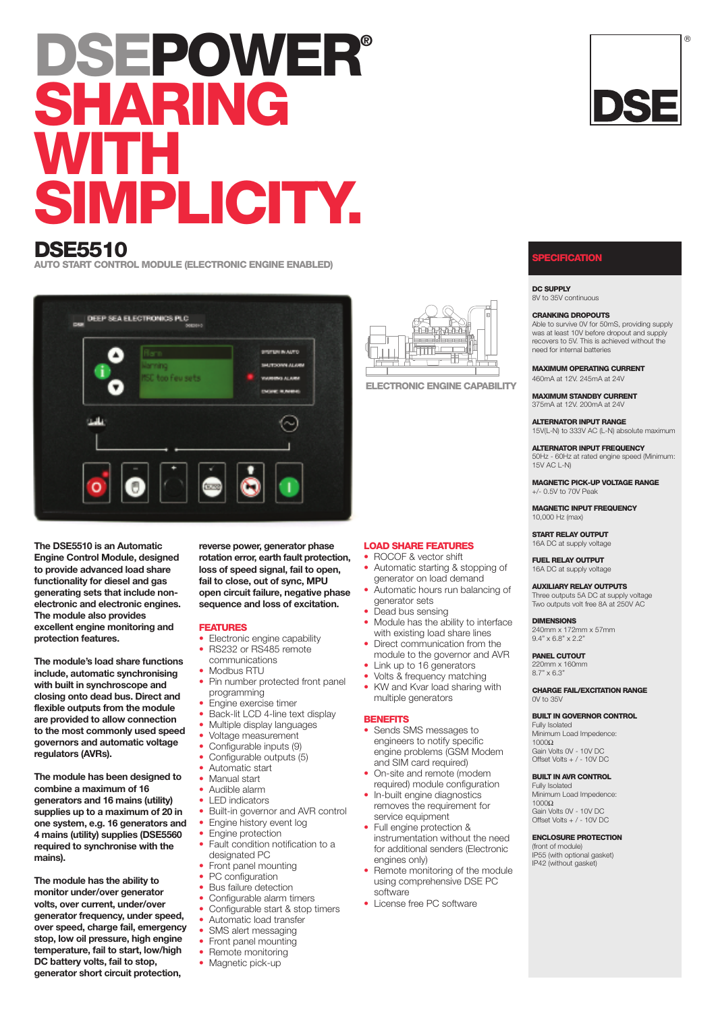# **DSEPOWER® SHARING WITH SIMPLICITY.**

# **DSE5510**

**AUTO START CONTROL MODULE (ELECTRONIC ENGINE ENABLED)**



**The DSE5510 is an Automatic Engine Control Module, designed to provide advanced load share functionality for diesel and gas generating sets that include nonelectronic and electronic engines. The module also provides excellent engine monitoring and protection features.**

**The module's load share functions include, automatic synchronising with built in synchroscope and closing onto dead bus. Direct and flexible outputs from the module are provided to allow connection to the most commonly used speed governors and automatic voltage regulators (AVRs).**

**The module has been designed to combine a maximum of 16 generators and 16 mains (utility) supplies up to a maximum of 20 in one system, e.g. 16 generators and 4 mains (utility) supplies (DSE5560 required to synchronise with the mains).**

**The module has the ability to monitor under/over generator volts, over current, under/over generator frequency, under speed, over speed, charge fail, emergency stop, low oil pressure, high engine temperature, fail to start, low/high DC battery volts, fail to stop, generator short circuit protection,**

**reverse power, generator phase rotation error, earth fault protection, loss of speed signal, fail to open, fail to close, out of sync, MPU open circuit failure, negative phase sequence and loss of excitation.**

# **FEATURES**

- Electronic engine capability
- RS232 or RS485 remote
- communications • Modbus RTU
- Pin number protected front panel programming
- 
- Engine exercise timer • Back-lit LCD 4-line text display
- Multiple display languages
- Voltage measurement
- Configurable inputs (9)
- Configurable outputs (5)
- Automatic start
- Manual start
- Audible alarm
- LED indicators
- Built-in governor and AVR control
- Engine history event log
- Engine protection
- Fault condition notification to a designated PC
- Front panel mounting<br>• PC configuration
- PC configuration<br>• Bus failure detect
- Bus failure detection
- Configurable alarm timers
- Configurable start & stop timers
- Automatic load transfer
- SMS alert messaging<br>• Front panel mounting
- Front panel mounting
- Remote monitoring
- Magnetic pick-up



**ELECTRONIC ENGINE CAPABILITY**

# **LOAD SHARE FEATURES**

- ROCOF & vector shift
- Automatic starting & stopping of generator on load demand
- Automatic hours run balancing of generator sets
- Dead bus sensing
- Module has the ability to interface with existing load share lines
- Direct communication from the module to the governor and AVR
- Link up to 16 generators
- Volts & frequency matching
- KW and Kvar load sharing with multiple generators

#### **BENEFITS**

- Sends SMS messages to engineers to notify specific engine problems (GSM Modem and SIM card required)
- On-site and remote (modem required) module configuration
- In-built engine diagnostics removes the requirement for service equipment
- Full engine protection & instrumentation without the need for additional senders (Electronic engines only)
- Remote monitoring of the module using comprehensive DSE PC software
- License free PC software

# **SPECIFICATION**

**DC SUPPLY** 8V to 35V continuous

#### **CRANKING DROPOUTS**

Able to survive 0V for 50mS, providing supply was at least 10V before dropout and supply

recovers to 5V. This is achieved without the need for internal batteries **MAXIMUM OPERATING CURRENT**

460mA at 12V. 245mA at 24V

**MAXIMUM STANDBY CURRENT** 375mA at 12V. 200mA at 24V

**ALTERNATOR INPUT RANGE** 15V(L-N) to 333V AC (L-N) absolute maximum

**ALTERNATOR INPUT FREQUENCY**

50Hz - 60Hz at rated engine speed (Minimum: 15V AC L-N)

**MAGNETIC PICK-UP VOLTAGE RANGE** +/- 0.5V to 70V Peak

**MAGNETIC INPUT FREQUENCY** 10,000 Hz (max)

**START RELAY OUTPUT** 16A DC at supply voltage

**FUEL RELAY OUTPUT** 16A DC at supply voltage

**AUXILIARY RELAY OUTPUTS** Three outputs 5A DC at supply voltage Two outputs volt free 8A at 250V AC

#### **DIMENSIONS**

240mm x 172mm x 57mm 9.4" x 6.8" x 2.2"

**PANEL CUTOUT** 220mm x 160mm 8.7" x 6.3"

**CHARGE FAIL/EXCITATION RANGE** 0V to 35V

## **BUILT IN GOVERNOR CONTROL**

Fully Isolated Minimum Load Impedence:  $1000Ω$ Gain Volts 0V - 10V DC

# Offset Volts + / - 10V DC

**BUILT IN AVR CONTROL** Fully Isolated Minimum Load Impedence:  $1000\Omega$ Gain Volts 0V - 10V DC Offset Volts + / - 10V DC

**ENCLOSURE PROTECTION**

(front of module) IP55 (with optional gasket) IP42 (without gasket)





- 
-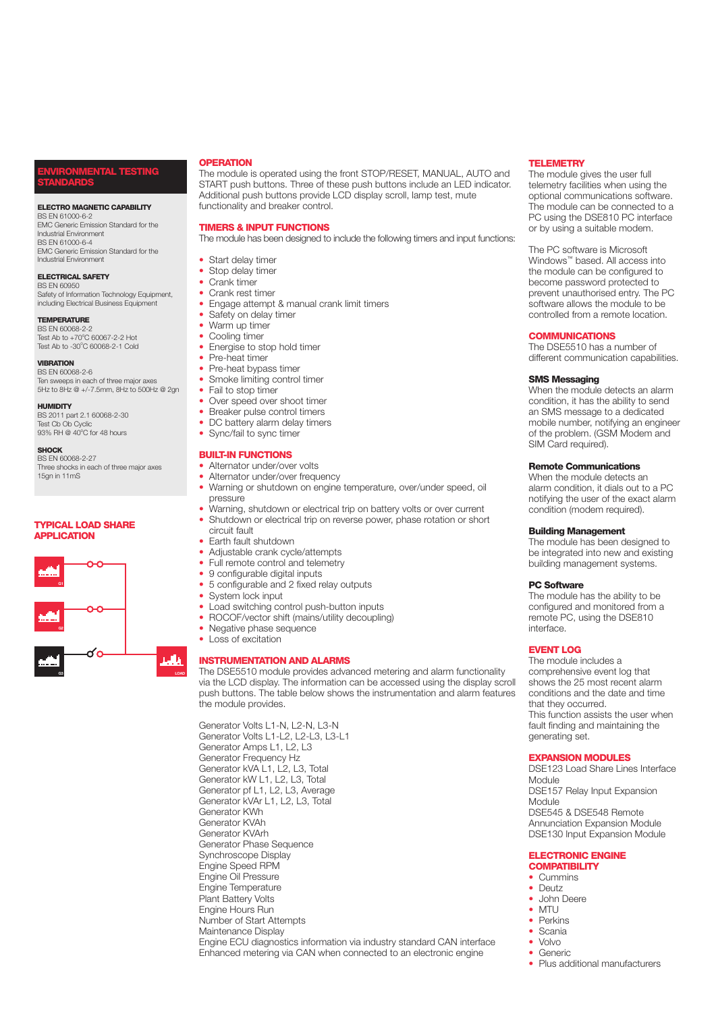# **ENTAL TESTING STANDARDS**

#### **ELECTRO MAGNETIC CAPABILITY**

BS EN 61000-6-2 EMC Generic Emission Standard for the Industrial Environment BS EN 61000-6-4 EMC Generic Emission Standard for the Industrial Environment

#### **ELECTRICAL SAFETY**

BS EN 60950 Safety of Information Technology Equipment, including Electrical Business Equipment

## **TEMPERATURE**

BS EN 60068-2-2 Test Ab to +70°C 60067-2-2 Hot Test Ab to -30°C 60068-2-1 Cold

## **VIBRATION**

BS EN 60068-2-6 Ten sweeps in each of three major axes 5Hz to 8Hz @ +/-7.5mm, 8Hz to 500Hz @ 2gn

**HUMIDITY**

BS 2011 part 2.1 60068-2-30 Test Cb Ob Cyclic<br>93% RH @ 40°C for 48 hours

#### **SHOCK**

BS EN 60068-2-27 Three shocks in each of three major axes 15gn in 11mS

# **TYPICAL LOAD SHARE APPLICATION**



# **OPERATION**

The module is operated using the front STOP/RESET, MANUAL, AUTO and START push buttons. Three of these push buttons include an LED indicator. Additional push buttons provide LCD display scroll, lamp test, mute functionality and breaker control.

# **TIMERS & INPUT FUNCTIONS**

The module has been designed to include the following timers and input functions:

- Start delay timer
- Stop delay timer
- Crank timer
- Crank rest timer
- Engage attempt & manual crank limit timers
- Safety on delay timer
- Warm up timer
- Cooling timer
	- Energise to stop hold timer
- Pre-heat timer
- Pre-heat bypass timer
- Smoke limiting control timer
- Fail to stop timer
- Over speed over shoot timer
- Breaker pulse control timers
- DC battery alarm delay timers
- Sync/fail to sync timer

# **BUILT-IN FUNCTIONS**

- Alternator under/over volts • Alternator under/over frequency
- 
- Warning or shutdown on engine temperature, over/under speed, oil pressure
- Warning, shutdown or electrical trip on battery volts or over current
- Shutdown or electrical trip on reverse power, phase rotation or short circuit fault
- Earth fault shutdown
- Adjustable crank cycle/attempts
- Full remote control and telemetry
- 
- 9 configurable digital inputs<br>• 5 configurable and 2 fixed responsive • 5 configurable and 2 fixed relay outputs<br>• System lock input
- System lock input
- Load switching control push-button inputs
- ROCOF/vector shift (mains/utility decoupling)
- Negative phase sequence
- Loss of excitation

### **INSTRUMENTATION AND ALARMS**



Enhanced metering via CAN when connected to an electronic engine

Generator Volts L1-N, L2-N, L3-N Generator Volts L1-L2, L2-L3, L3-L1 Generator Amps L1, L2, L3 Generator Frequency Hz Generator kVA L1, L2, L3, Total Generator kW L1, L2, L3, Total Generator pf L1, L2, L3, Average Generator kVAr L1, L2, L3, Total Generator KWh Generator KVAh Generator KVArh Generator Phase Sequence Synchroscope Display Engine Speed RPM Engine Oil Pressure Engine Temperature Plant Battery Volts Engine Hours Run Number of Start Attempts Maintenance Display Engine ECU diagnostics information via industry standard CAN interface

# **TELEMETRY**

The module gives the user full telemetry facilities when using the optional communications software. The module can be connected to a PC using the DSE810 PC interface or by using a suitable modem.

The PC software is Microsoft Windows™ based. All access into the module can be configured to become password protected to prevent unauthorised entry. The PC software allows the module to be controlled from a remote location.

# **COMMUNICATIONS**

The DSE5510 has a number of different communication capabilities.

# **SMS Messaging**

When the module detects an alarm condition, it has the ability to send an SMS message to a dedicated mobile number, notifying an engineer of the problem. (GSM Modem and SIM Card required).

# **Remote Communications**

When the module detects an alarm condition, it dials out to a PC notifying the user of the exact alarm condition (modem required).

### **Building Management**

The module has been designed to be integrated into new and existing building management systems.

# **PC Software**

The module has the ability to be configured and monitored from a remote PC, using the DSE810 interface.

# **EVENT LOG**

The module includes a comprehensive event log that shows the 25 most recent alarm conditions and the date and time that they occurred. This function assists the user when fault finding and maintaining the generating set.

# **EXPANSION MODULES**

DSE123 Load Share Lines Interface Module DSE157 Relay Input Expansion Module DSE545 & DSE548 Remote Annunciation Expansion Module DSE130 Input Expansion Module

### **ELECTRONIC ENGINE COMPATIBILITY**

- Cummins
- Deutz
- John Deere
- MTU
- 
- Perkins
- Scania
- Volvo • Generic
- Plus additional manufacturers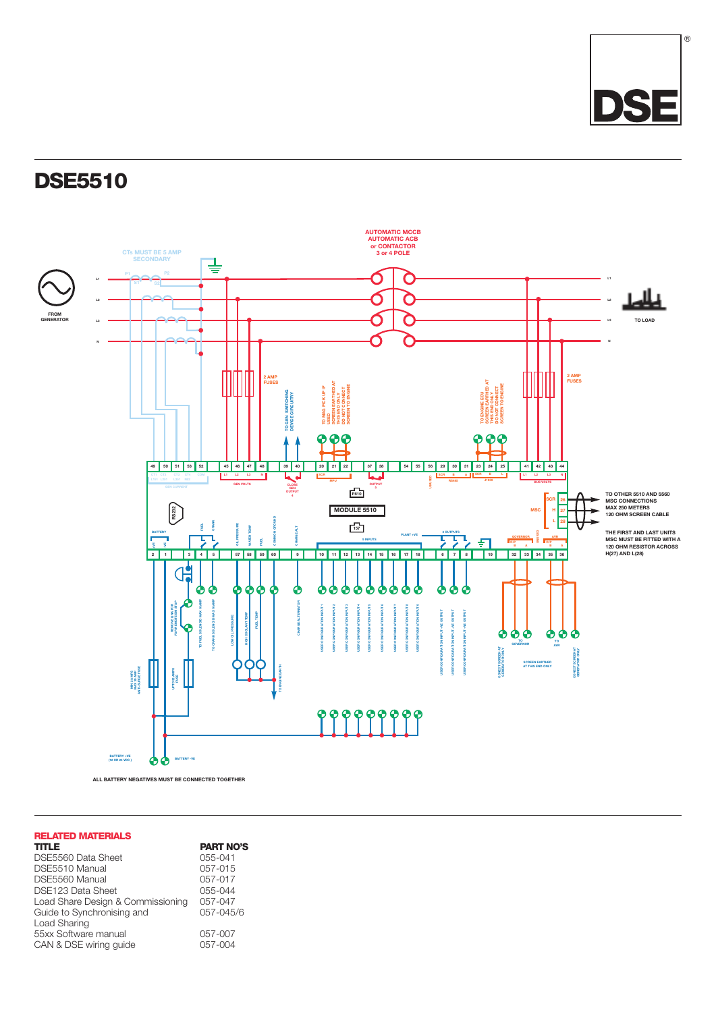

# **DSE5510**



# **RELATED MATERIALS**

| <b>TITLE</b>                      | <b>PART NO'S</b> |
|-----------------------------------|------------------|
| DSE5560 Data Sheet                | 055-041          |
| DSE5510 Manual                    | 057-015          |
| DSE5560 Manual                    | 057-017          |
| DSE123 Data Sheet                 | 055-044          |
| Load Share Design & Commissioning | 057-047          |
| Guide to Synchronising and        | 057-045/6        |
| Load Sharing                      |                  |
| 55xx Software manual              | 057-007          |
| CAN & DSE wiring guide            | 057-004          |
|                                   |                  |